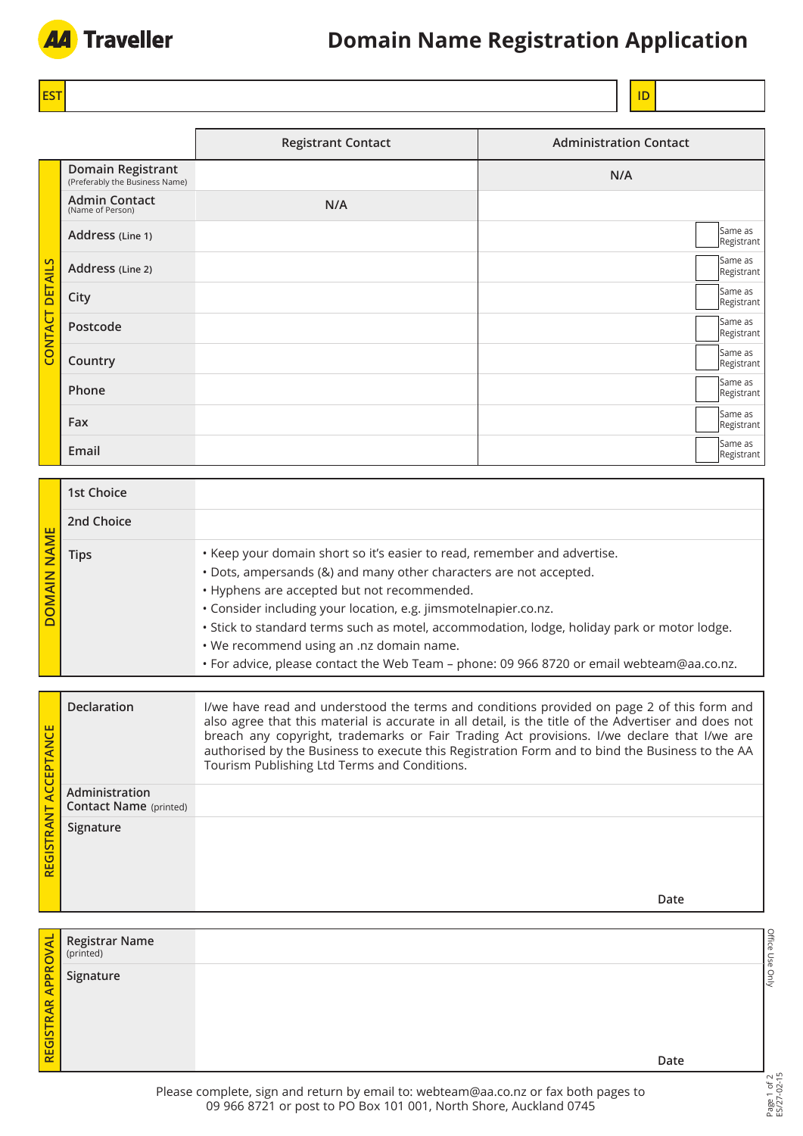

# **Domain Name Registration Application**

**EST ID** 

|                        |                                                     | <b>Registrant Contact</b> | <b>Administration Contact</b> |
|------------------------|-----------------------------------------------------|---------------------------|-------------------------------|
| <b>CONTACT DETAILS</b> | Domain Registrant<br>(Preferably the Business Name) |                           | N/A                           |
|                        | <b>Admin Contact</b><br>(Name of Person)            | N/A                       |                               |
|                        | Address (Line 1)                                    |                           | Same as<br>Registrant         |
|                        | Address (Line 2)                                    |                           | Same as<br>Registrant         |
|                        | City                                                |                           | Same as<br>Registrant         |
|                        | Postcode                                            |                           | Same as<br>Registrant         |
|                        | Country                                             |                           | Same as<br>Registrant         |
|                        | Phone                                               |                           | Same as<br>Registrant         |
|                        | Fax                                                 |                           | Same as<br>Registrant         |
|                        | Email                                               |                           | Same as<br>Registrant         |

| <b>N NINNOG</b> | 1st Choice |                                                                                                                                                                                                                                                                                                                                                                                                                                                                                                          |
|-----------------|------------|----------------------------------------------------------------------------------------------------------------------------------------------------------------------------------------------------------------------------------------------------------------------------------------------------------------------------------------------------------------------------------------------------------------------------------------------------------------------------------------------------------|
|                 | 2nd Choice |                                                                                                                                                                                                                                                                                                                                                                                                                                                                                                          |
|                 | Tips       | • Keep your domain short so it's easier to read, remember and advertise.<br>• Dots, ampersands (&) and many other characters are not accepted.<br>• Hyphens are accepted but not recommended.<br>· Consider including your location, e.g. jimsmotelnapier.co.nz.<br>· Stick to standard terms such as motel, accommodation, lodge, holiday park or motor lodge.<br>. We recommend using an .nz domain name.<br>• For advice, please contact the Web Team - phone: 09 966 8720 or email webteam@aa.co.nz. |

| ACCEPTANCE<br>REGISTRANT | <b>Declaration</b>                              | I/we have read and understood the terms and conditions provided on page 2 of this form and<br>also agree that this material is accurate in all detail, is the title of the Advertiser and does not<br>breach any copyright, trademarks or Fair Trading Act provisions. I/we declare that I/we are<br>authorised by the Business to execute this Registration Form and to bind the Business to the AA<br>Tourism Publishing Ltd Terms and Conditions. |
|--------------------------|-------------------------------------------------|------------------------------------------------------------------------------------------------------------------------------------------------------------------------------------------------------------------------------------------------------------------------------------------------------------------------------------------------------------------------------------------------------------------------------------------------------|
|                          | Administration<br><b>Contact Name</b> (printed) |                                                                                                                                                                                                                                                                                                                                                                                                                                                      |
|                          | Signature                                       | Date                                                                                                                                                                                                                                                                                                                                                                                                                                                 |

|                                                | <b>Registrar Name</b><br>(printed)<br><b>Signature</b><br><b>Signature</b> |      | <u>mice Use Only</u> |
|------------------------------------------------|----------------------------------------------------------------------------|------|----------------------|
| $\frac{R}{A}$<br>$\mathbf{z}$<br><b>REGIST</b> |                                                                            |      |                      |
|                                                |                                                                            | Date |                      |